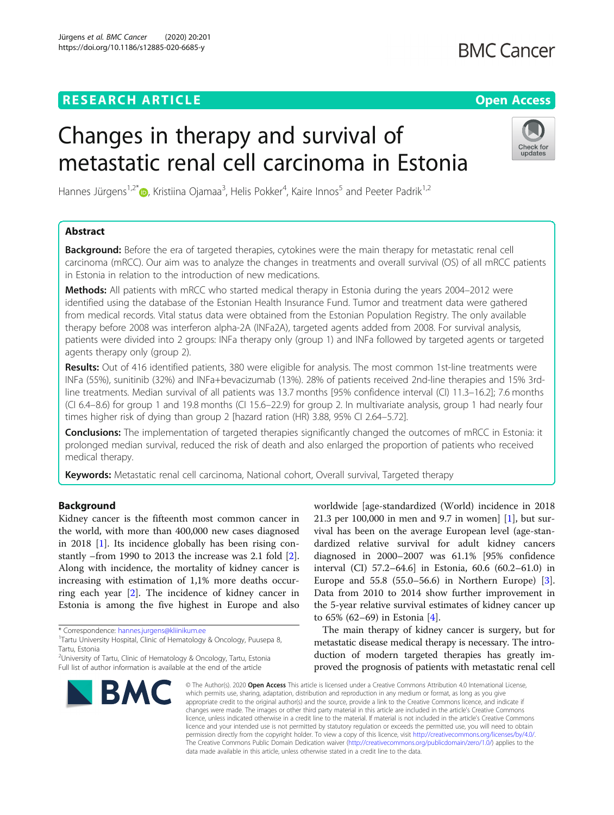### **RESEARCH ARTICLE Example 2014 12:30 The Contract of Contract ACCESS**

## **BMC Cancer**

# Changes in therapy and survival of metastatic renal cell carcinoma in Estonia



Hannes Jürgens<sup>1[,](http://orcid.org/0000-0003-4201-4374)2\*</sup>®, Kristiina Ojamaa<sup>3</sup>, Helis Pokker<sup>4</sup>, Kaire Innos<sup>5</sup> and Peeter Padrik<sup>1,2</sup>

### Abstract

**Background:** Before the era of targeted therapies, cytokines were the main therapy for metastatic renal cell carcinoma (mRCC). Our aim was to analyze the changes in treatments and overall survival (OS) of all mRCC patients in Estonia in relation to the introduction of new medications.

Methods: All patients with mRCC who started medical therapy in Estonia during the years 2004–2012 were identified using the database of the Estonian Health Insurance Fund. Tumor and treatment data were gathered from medical records. Vital status data were obtained from the Estonian Population Registry. The only available therapy before 2008 was interferon alpha-2A (INFa2A), targeted agents added from 2008. For survival analysis, patients were divided into 2 groups: INFa therapy only (group 1) and INFa followed by targeted agents or targeted agents therapy only (group 2).

Results: Out of 416 identified patients, 380 were eligible for analysis. The most common 1st-line treatments were INFa (55%), sunitinib (32%) and INFa+bevacizumab (13%). 28% of patients received 2nd-line therapies and 15% 3rdline treatments. Median survival of all patients was 13.7 months [95% confidence interval (CI) 11.3–16.2]; 7.6 months (CI 6.4–8.6) for group 1 and 19.8 months (CI 15.6–22.9) for group 2. In multivariate analysis, group 1 had nearly four times higher risk of dying than group 2 [hazard ration (HR) 3.88, 95% CI 2.64–5.72].

Conclusions: The implementation of targeted therapies significantly changed the outcomes of mRCC in Estonia: it prolonged median survival, reduced the risk of death and also enlarged the proportion of patients who received medical therapy.

**Keywords:** Metastatic renal cell carcinoma, National cohort, Overall survival, Targeted therapy

#### Background

Kidney cancer is the fifteenth most common cancer in the world, with more than 400,000 new cases diagnosed in 2018 [\[1\]](#page-6-0). Its incidence globally has been rising constantly –from 1990 to 2013 the increase was 2.1 fold [\[2](#page-6-0)]. Along with incidence, the mortality of kidney cancer is increasing with estimation of 1,1% more deaths occurring each year [\[2](#page-6-0)]. The incidence of kidney cancer in Estonia is among the five highest in Europe and also

<sup>2</sup>University of Tartu, Clinic of Hematology & Oncology, Tartu, Estonia Full list of author information is available at the end of the article



worldwide [age-standardized (World) incidence in 2018 21.3 per 100,000 in men and 9.7 in women] [\[1\]](#page-6-0), but survival has been on the average European level (age-standardized relative survival for adult kidney cancers diagnosed in 2000–2007 was 61.1% [95% confidence interval (CI) 57.2–64.6] in Estonia, 60.6 (60.2–61.0) in Europe and  $55.8$  (55.0–56.6) in Northern Europe) [\[3](#page-6-0)]. Data from 2010 to 2014 show further improvement in the 5-year relative survival estimates of kidney cancer up to 65% (62–69) in Estonia [\[4](#page-6-0)].

The main therapy of kidney cancer is surgery, but for metastatic disease medical therapy is necessary. The introduction of modern targeted therapies has greatly improved the prognosis of patients with metastatic renal cell

© The Author(s), 2020 **Open Access** This article is licensed under a Creative Commons Attribution 4.0 International License, which permits use, sharing, adaptation, distribution and reproduction in any medium or format, as long as you give appropriate credit to the original author(s) and the source, provide a link to the Creative Commons licence, and indicate if changes were made. The images or other third party material in this article are included in the article's Creative Commons licence, unless indicated otherwise in a credit line to the material. If material is not included in the article's Creative Commons licence and your intended use is not permitted by statutory regulation or exceeds the permitted use, you will need to obtain permission directly from the copyright holder. To view a copy of this licence, visit [http://creativecommons.org/licenses/by/4.0/.](http://creativecommons.org/licenses/by/4.0/) The Creative Commons Public Domain Dedication waiver [\(http://creativecommons.org/publicdomain/zero/1.0/](http://creativecommons.org/publicdomain/zero/1.0/)) applies to the data made available in this article, unless otherwise stated in a credit line to the data.

<sup>\*</sup> Correspondence: [hannes.jurgens@kliinikum.ee](mailto:hannes.jurgens@kliinikum.ee) <sup>1</sup>

<sup>&</sup>lt;sup>1</sup>Tartu University Hospital, Clinic of Hematology & Oncology, Puusepa 8, Tartu, Estonia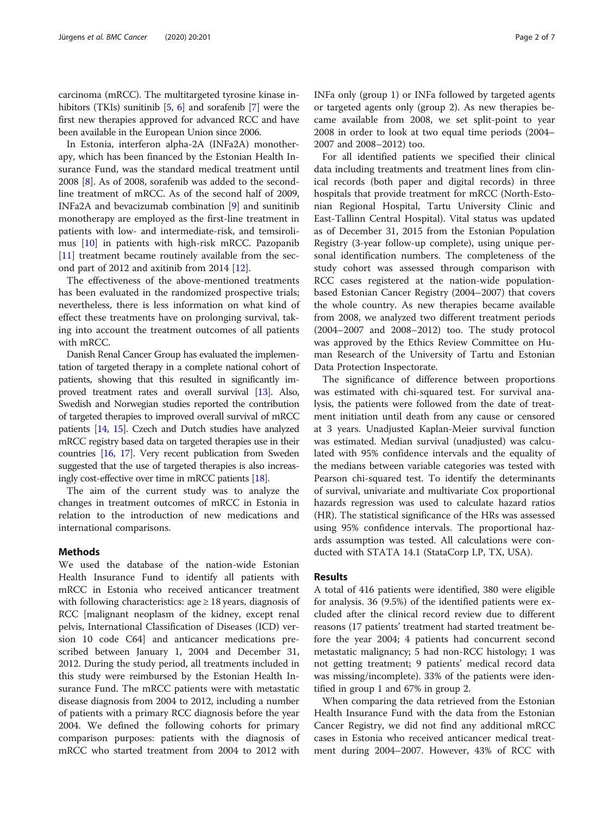carcinoma (mRCC). The multitargeted tyrosine kinase in-hibitors (TKIs) sunitinib [[5](#page-6-0), [6\]](#page-6-0) and sorafenib [\[7\]](#page-6-0) were the first new therapies approved for advanced RCC and have been available in the European Union since 2006.

In Estonia, interferon alpha-2A (INFa2A) monotherapy, which has been financed by the Estonian Health Insurance Fund, was the standard medical treatment until 2008 [[8](#page-6-0)]. As of 2008, sorafenib was added to the secondline treatment of mRCC. As of the second half of 2009, INFa2A and bevacizumab combination [[9\]](#page-6-0) and sunitinib monotherapy are employed as the first-line treatment in patients with low- and intermediate-risk, and temsirolimus [\[10\]](#page-6-0) in patients with high-risk mRCC. Pazopanib  $[11]$  $[11]$  treatment became routinely available from the second part of 2012 and axitinib from 2014 [\[12](#page-6-0)].

The effectiveness of the above-mentioned treatments has been evaluated in the randomized prospective trials; nevertheless, there is less information on what kind of effect these treatments have on prolonging survival, taking into account the treatment outcomes of all patients with mRCC.

Danish Renal Cancer Group has evaluated the implementation of targeted therapy in a complete national cohort of patients, showing that this resulted in significantly improved treatment rates and overall survival [\[13\]](#page-6-0). Also, Swedish and Norwegian studies reported the contribution of targeted therapies to improved overall survival of mRCC patients [\[14,](#page-6-0) [15](#page-6-0)]. Czech and Dutch studies have analyzed mRCC registry based data on targeted therapies use in their countries [[16,](#page-6-0) [17](#page-6-0)]. Very recent publication from Sweden suggested that the use of targeted therapies is also increasingly cost-effective over time in mRCC patients [\[18\]](#page-6-0).

The aim of the current study was to analyze the changes in treatment outcomes of mRCC in Estonia in relation to the introduction of new medications and international comparisons.

#### Methods

We used the database of the nation-wide Estonian Health Insurance Fund to identify all patients with mRCC in Estonia who received anticancer treatment with following characteristics: age  $\geq 18$  years, diagnosis of RCC [malignant neoplasm of the kidney, except renal pelvis, International Classification of Diseases (ICD) version 10 code C64] and anticancer medications prescribed between January 1, 2004 and December 31, 2012. During the study period, all treatments included in this study were reimbursed by the Estonian Health Insurance Fund. The mRCC patients were with metastatic disease diagnosis from 2004 to 2012, including a number of patients with a primary RCC diagnosis before the year 2004. We defined the following cohorts for primary comparison purposes: patients with the diagnosis of mRCC who started treatment from 2004 to 2012 with INFa only (group 1) or INFa followed by targeted agents or targeted agents only (group 2). As new therapies became available from 2008, we set split-point to year 2008 in order to look at two equal time periods (2004– 2007 and 2008–2012) too.

For all identified patients we specified their clinical data including treatments and treatment lines from clinical records (both paper and digital records) in three hospitals that provide treatment for mRCC (North-Estonian Regional Hospital, Tartu University Clinic and East-Tallinn Central Hospital). Vital status was updated as of December 31, 2015 from the Estonian Population Registry (3-year follow-up complete), using unique personal identification numbers. The completeness of the study cohort was assessed through comparison with RCC cases registered at the nation-wide populationbased Estonian Cancer Registry (2004–2007) that covers the whole country. As new therapies became available from 2008, we analyzed two different treatment periods (2004–2007 and 2008–2012) too. The study protocol was approved by the Ethics Review Committee on Human Research of the University of Tartu and Estonian Data Protection Inspectorate.

The significance of difference between proportions was estimated with chi-squared test. For survival analysis, the patients were followed from the date of treatment initiation until death from any cause or censored at 3 years. Unadjusted Kaplan-Meier survival function was estimated. Median survival (unadjusted) was calculated with 95% confidence intervals and the equality of the medians between variable categories was tested with Pearson chi-squared test. To identify the determinants of survival, univariate and multivariate Cox proportional hazards regression was used to calculate hazard ratios (HR). The statistical significance of the HRs was assessed using 95% confidence intervals. The proportional hazards assumption was tested. All calculations were conducted with STATA 14.1 (StataCorp LP, TX, USA).

#### Results

A total of 416 patients were identified, 380 were eligible for analysis. 36 (9.5%) of the identified patients were excluded after the clinical record review due to different reasons (17 patients' treatment had started treatment before the year 2004; 4 patients had concurrent second metastatic malignancy; 5 had non-RCC histology; 1 was not getting treatment; 9 patients' medical record data was missing/incomplete). 33% of the patients were identified in group 1 and 67% in group 2.

When comparing the data retrieved from the Estonian Health Insurance Fund with the data from the Estonian Cancer Registry, we did not find any additional mRCC cases in Estonia who received anticancer medical treatment during 2004–2007. However, 43% of RCC with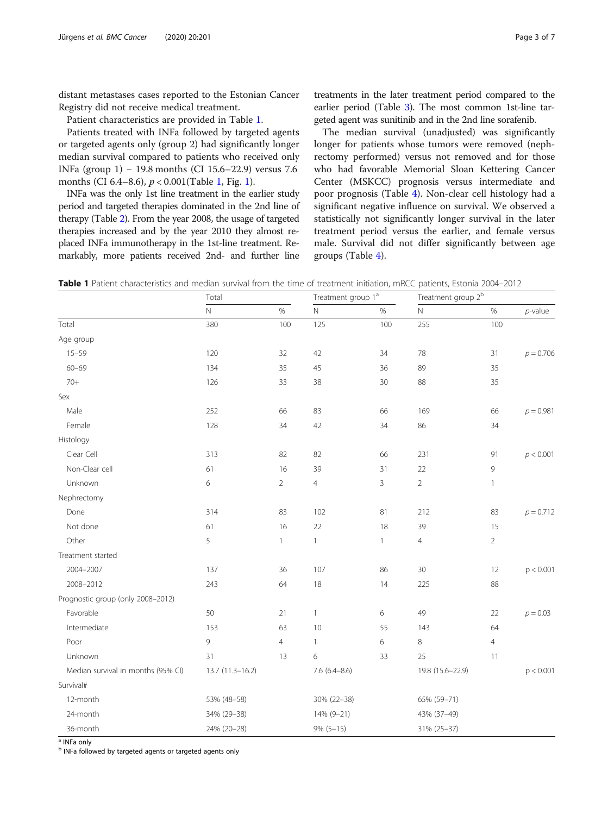distant metastases cases reported to the Estonian Cancer Registry did not receive medical treatment.

Patient characteristics are provided in Table 1.

Patients treated with INFa followed by targeted agents or targeted agents only (group 2) had significantly longer median survival compared to patients who received only INFa (group 1) − 19.8 months (CI 15.6–22.9) versus 7.6 months (CI 6.4–8.6),  $p < 0.001$  $p < 0.001$  (Table 1, Fig. 1).

INFa was the only 1st line treatment in the earlier study period and targeted therapies dominated in the 2nd line of therapy (Table [2\)](#page-3-0). From the year 2008, the usage of targeted therapies increased and by the year 2010 they almost replaced INFa immunotherapy in the 1st-line treatment. Remarkably, more patients received 2nd- and further line

treatments in the later treatment period compared to the earlier period (Table [3](#page-4-0)). The most common 1st-line targeted agent was sunitinib and in the 2nd line sorafenib.

The median survival (unadjusted) was significantly longer for patients whose tumors were removed (nephrectomy performed) versus not removed and for those who had favorable Memorial Sloan Kettering Cancer Center (MSKCC) prognosis versus intermediate and poor prognosis (Table [4\)](#page-4-0). Non-clear cell histology had a significant negative influence on survival. We observed a statistically not significantly longer survival in the later treatment period versus the earlier, and female versus male. Survival did not differ significantly between age groups (Table [4\)](#page-4-0).

|  |  | Table 1 Patient characteristics and median survival from the time of treatment initiation, mRCC patients, Estonia 2004–2012 |  |  |  |  |  |  |  |  |  |  |
|--|--|-----------------------------------------------------------------------------------------------------------------------------|--|--|--|--|--|--|--|--|--|--|
|--|--|-----------------------------------------------------------------------------------------------------------------------------|--|--|--|--|--|--|--|--|--|--|

|                                    | Total            |                | Treatment group 1 <sup>a</sup> |              | Treatment group 2 <sup>b</sup> |                |             |
|------------------------------------|------------------|----------------|--------------------------------|--------------|--------------------------------|----------------|-------------|
|                                    | $\hbox{N}$       | $\%$           | $\bar{\rm N}$                  | $\%$         | $\overline{N}$                 | $\%$           | $p$ -value  |
| Total                              | 380              | 100            | 125                            | 100          | 255                            | 100            |             |
| Age group                          |                  |                |                                |              |                                |                |             |
| $15 - 59$                          | 120              | 32             | 42                             | 34           | 78                             | 31             | $p = 0.706$ |
| $60 - 69$                          | 134              | 35             | 45                             | 36           | 89                             | 35             |             |
| $70+$                              | 126              | 33             | 38                             | 30           | 88                             | 35             |             |
| Sex                                |                  |                |                                |              |                                |                |             |
| Male                               | 252              | 66             | 83                             | 66           | 169                            | 66             | $p = 0.981$ |
| Female                             | 128              | 34             | 42                             | 34           | 86                             | 34             |             |
| Histology                          |                  |                |                                |              |                                |                |             |
| Clear Cell                         | 313              | 82             | 82                             | 66           | 231                            | 91             | p < 0.001   |
| Non-Clear cell                     | 61               | 16             | 39                             | 31           | 22                             | 9              |             |
| Unknown                            | 6                | $\overline{2}$ | $\overline{4}$                 | 3            | $\overline{2}$                 | $\mathbf{1}$   |             |
| Nephrectomy                        |                  |                |                                |              |                                |                |             |
| Done                               | 314              | 83             | 102                            | 81           | 212                            | 83             | $p = 0.712$ |
| Not done                           | 61               | 16             | 22                             | 18           | 39                             | 15             |             |
| Other                              | 5                | $\mathbf{1}$   | $\mathbf{1}$                   | $\mathbf{1}$ | $\overline{4}$                 | $\overline{2}$ |             |
| Treatment started                  |                  |                |                                |              |                                |                |             |
| 2004-2007                          | 137              | 36             | 107                            | 86           | 30                             | 12             | p < 0.001   |
| 2008-2012                          | 243              | 64             | 18                             | 14           | 225                            | 88             |             |
| Prognostic group (only 2008-2012)  |                  |                |                                |              |                                |                |             |
| Favorable                          | 50               | 21             | $\mathbf{1}$                   | 6            | 49                             | 22             | $p = 0.03$  |
| Intermediate                       | 153              | 63             | 10                             | 55           | 143                            | 64             |             |
| Poor                               | 9                | $\overline{4}$ | 1                              | 6            | 8                              | $\overline{4}$ |             |
| Unknown                            | 31               | 13             | 6                              | 33           | 25                             | 11             |             |
| Median survival in months (95% CI) | 13.7 (11.3-16.2) |                | $7.6(6.4 - 8.6)$               |              | 19.8 (15.6-22.9)               |                | p < 0.001   |
| Survival#                          |                  |                |                                |              |                                |                |             |
| 12-month                           | 53% (48-58)      |                | 30% (22-38)                    |              | 65% (59-71)                    |                |             |
| 24-month                           | 34% (29-38)      |                | 14% (9-21)                     |              | 43% (37-49)                    |                |             |
| 36-month                           | 24% (20-28)      |                | $9\% (5-15)$                   |              | 31% (25-37)                    |                |             |

INFa only

<sup>b</sup> INFa followed by targeted agents or targeted agents only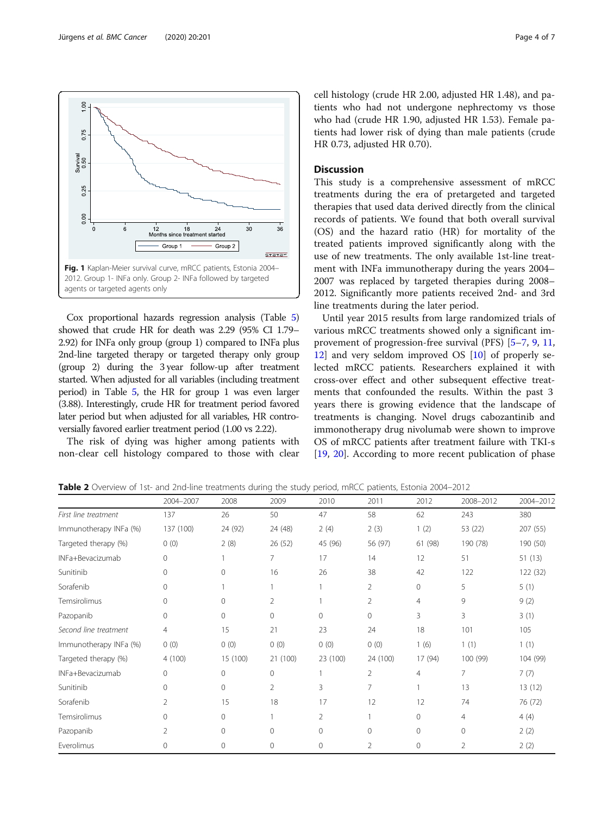<span id="page-3-0"></span>

Cox proportional hazards regression analysis (Table [5](#page-5-0)) showed that crude HR for death was 2.29 (95% CI 1.79– 2.92) for INFa only group (group 1) compared to INFa plus 2nd-line targeted therapy or targeted therapy only group (group 2) during the 3 year follow-up after treatment started. When adjusted for all variables (including treatment period) in Table [5,](#page-5-0) the HR for group 1 was even larger (3.88). Interestingly, crude HR for treatment period favored later period but when adjusted for all variables, HR controversially favored earlier treatment period (1.00 vs 2.22).

The risk of dying was higher among patients with non-clear cell histology compared to those with clear cell histology (crude HR 2.00, adjusted HR 1.48), and patients who had not undergone nephrectomy vs those who had (crude HR 1.90, adjusted HR 1.53). Female patients had lower risk of dying than male patients (crude HR 0.73, adjusted HR 0.70).

#### **Discussion**

This study is a comprehensive assessment of mRCC treatments during the era of pretargeted and targeted therapies that used data derived directly from the clinical records of patients. We found that both overall survival (OS) and the hazard ratio (HR) for mortality of the treated patients improved significantly along with the use of new treatments. The only available 1st-line treatment with INFa immunotherapy during the years 2004– 2007 was replaced by targeted therapies during 2008– 2012. Significantly more patients received 2nd- and 3rd line treatments during the later period.

Until year 2015 results from large randomized trials of various mRCC treatments showed only a significant improvement of progression-free survival (PFS) [\[5](#page-6-0)–[7](#page-6-0), [9](#page-6-0), [11](#page-6-0), [12\]](#page-6-0) and very seldom improved OS [[10\]](#page-6-0) of properly selected mRCC patients. Researchers explained it with cross-over effect and other subsequent effective treatments that confounded the results. Within the past 3 years there is growing evidence that the landscape of treatments is changing. Novel drugs cabozantinib and immonotherapy drug nivolumab were shown to improve OS of mRCC patients after treatment failure with TKI-s [[19,](#page-6-0) [20](#page-6-0)]. According to more recent publication of phase

Table 2 Overview of 1st- and 2nd-line treatments during the study period, mRCC patients, Estonia 2004–2012

|                        | 2004-2007      | 2008           | 2009           | 2010           | 2011           | 2012           | 2008-2012      | 2004-2012 |
|------------------------|----------------|----------------|----------------|----------------|----------------|----------------|----------------|-----------|
| First line treatment   | 137            | 26             | 50             | 47             | 58             | 62             | 243            | 380       |
| Immunotherapy INFa (%) | 137 (100)      | 24 (92)        | 24 (48)        | 2(4)           | 2(3)           | 1(2)           | 53 (22)        | 207 (55)  |
| Targeted therapy (%)   | 0(0)           | 2(8)           | 26(52)         | 45 (96)        | 56 (97)        | 61 (98)        | 190 (78)       | 190 (50)  |
| INFa+Bevacizumab       | 0              |                | $\overline{7}$ | 17             | 14             | 12             | 51             | 51(13)    |
| Sunitinib              | 0              | $\Omega$       | 16             | 26             | 38             | 42             | 122            | 122(32)   |
| Sorafenib              | 0              |                |                |                | 2              | 0              | 5              | 5(1)      |
| Temsirolimus           | 0              | $\Omega$       | $\overline{2}$ |                | $\overline{2}$ | $\overline{4}$ | 9              | 9(2)      |
| Pazopanib              | 0              | $\Omega$       | 0              | $\mathbf{0}$   | $\Omega$       | 3              | 3              | 3(1)      |
| Second line treatment  | 4              | 15             | 21             | 23             | 24             | 18             | 101            | 105       |
| Immunotherapy INFa (%) | 0(0)           | 0(0)           | 0(0)           | 0(0)           | 0(0)           | 1(6)           | 1(1)           | 1(1)      |
| Targeted therapy (%)   | 4(100)         | 15 (100)       | 21 (100)       | 23 (100)       | 24 (100)       | 17 (94)        | 100 (99)       | 104 (99)  |
| INFa+Bevacizumab       | 0              | $\circ$        | 0              |                | $\overline{2}$ | $\overline{4}$ | 7              | 7(7)      |
| Sunitinib              | 0              | 0              | $\overline{2}$ | 3              | 7              |                | 13             | 13(12)    |
| Sorafenib              | $\overline{2}$ | 15             | 18             | 17             | 12             | 12             | 74             | 76 (72)   |
| Temsirolimus           | 0              | $\overline{0}$ |                | $\overline{2}$ |                | 0              | $\overline{4}$ | 4(4)      |
| Pazopanib              | $\overline{2}$ | $\Omega$       | 0              | $\Omega$       | $\Omega$       | 0              | $\Omega$       | 2(2)      |
| Everolimus             | 0              | $\circ$        | 0              | $\mathbf{0}$   | 2              | 0              | 2              | 2(2)      |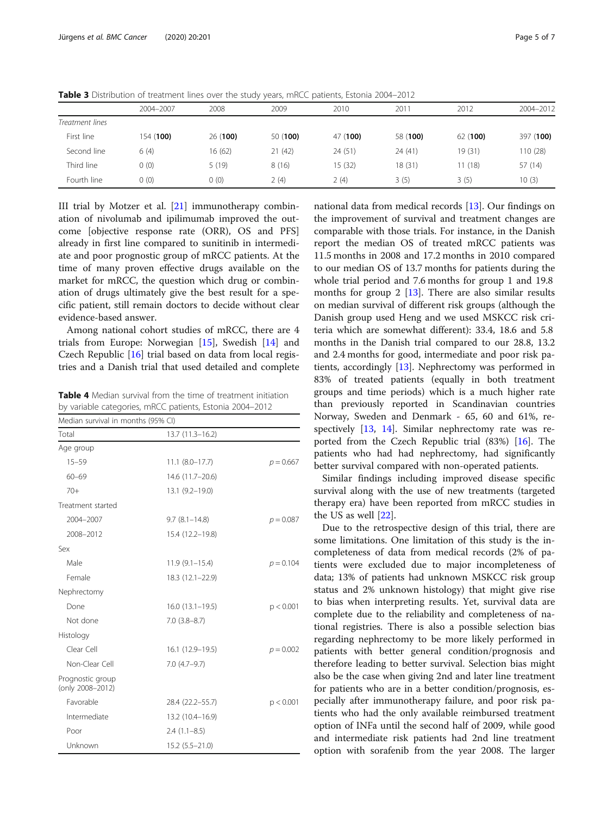|                 | 2004-2007 | 2008     | 2009    | 2010     | 2011     | 2012    | 2004-2012 |
|-----------------|-----------|----------|---------|----------|----------|---------|-----------|
| Treatment lines |           |          |         |          |          |         |           |
| First line      | 154 (100) | 26 (100) | 50(100) | 47 (100) | 58 (100) | 62(100) | 397 (100) |
| Second line     | 6(4)      | 16 (62)  | 21(42)  | 24(51)   | 24(41)   | 19(31)  | 110 (28)  |
| Third line      | 0(0)      | 5(19)    | 8(16)   | 15 (32)  | 18(31)   | 1(18)   | 57 (14)   |
| Fourth line     | 0(0)      | 0(0)     | 2(4)    | 2(4)     | 3(5)     | 3(5)    | 10(3)     |
|                 |           |          |         |          |          |         |           |

<span id="page-4-0"></span>Table 3 Distribution of treatment lines over the study years, mRCC patients, Estonia 2004–2012

III trial by Motzer et al. [[21\]](#page-6-0) immunotherapy combination of nivolumab and ipilimumab improved the outcome [objective response rate (ORR), OS and PFS] already in first line compared to sunitinib in intermediate and poor prognostic group of mRCC patients. At the time of many proven effective drugs available on the market for mRCC, the question which drug or combination of drugs ultimately give the best result for a specific patient, still remain doctors to decide without clear evidence-based answer.

Among national cohort studies of mRCC, there are 4 trials from Europe: Norwegian [[15\]](#page-6-0), Swedish [\[14](#page-6-0)] and Czech Republic [[16\]](#page-6-0) trial based on data from local registries and a Danish trial that used detailed and complete

**Table 4** Median survival from the time of treatment initiation by variable categories, mRCC patients, Estonia 2004–2012

| Median survival in months (95% CI)   |                     |             |
|--------------------------------------|---------------------|-------------|
| Total                                | 13.7 (11.3-16.2)    |             |
| Age group                            |                     |             |
| $15 - 59$                            | $11.1 (8.0 - 17.7)$ | $p = 0.667$ |
| $60 - 69$                            | 14.6 (11.7-20.6)    |             |
| $70+$                                | 13.1 (9.2-19.0)     |             |
| Treatment started                    |                     |             |
| 2004-2007                            | $9.7(8.1 - 14.8)$   | $p = 0.087$ |
| 2008-2012                            | 15.4 (12.2-19.8)    |             |
| Sex                                  |                     |             |
| Male                                 | $11.9(9.1 - 15.4)$  | $p = 0.104$ |
| Female                               | 18.3 (12.1-22.9)    |             |
| Nephrectomy                          |                     |             |
| Done                                 | $16.0(13.1-19.5)$   | p < 0.001   |
| Not done                             | $7.0$ $(3.8-8.7)$   |             |
| Histology                            |                     |             |
| Clear Cell                           | 16.1 (12.9-19.5)    | $p = 0.002$ |
| Non-Clear Cell                       | $7.0(4.7-9.7)$      |             |
| Prognostic group<br>(only 2008-2012) |                     |             |
| Favorable                            | 28.4 (22.2-55.7)    | p < 0.001   |
| Intermediate                         | 13.2 (10.4-16.9)    |             |
| Poor                                 | $2.4(1.1-8.5)$      |             |
| Unknown                              | 15.2 (5.5-21.0)     |             |

national data from medical records [[13\]](#page-6-0). Our findings on the improvement of survival and treatment changes are comparable with those trials. For instance, in the Danish report the median OS of treated mRCC patients was 11.5 months in 2008 and 17.2 months in 2010 compared to our median OS of 13.7 months for patients during the whole trial period and 7.6 months for group 1 and 19.8 months for group  $2 \lfloor 13 \rfloor$ . There are also similar results on median survival of different risk groups (although the Danish group used Heng and we used MSKCC risk criteria which are somewhat different): 33.4, 18.6 and 5.8 months in the Danish trial compared to our 28.8, 13.2 and 2.4 months for good, intermediate and poor risk patients, accordingly [[13\]](#page-6-0). Nephrectomy was performed in 83% of treated patients (equally in both treatment groups and time periods) which is a much higher rate than previously reported in Scandinavian countries Norway, Sweden and Denmark - 65, 60 and 61%, respectively [[13,](#page-6-0) [14](#page-6-0)]. Similar nephrectomy rate was reported from the Czech Republic trial (83%) [\[16](#page-6-0)]. The patients who had had nephrectomy, had significantly better survival compared with non-operated patients.

Similar findings including improved disease specific survival along with the use of new treatments (targeted therapy era) have been reported from mRCC studies in the US as well [\[22](#page-6-0)].

Due to the retrospective design of this trial, there are some limitations. One limitation of this study is the incompleteness of data from medical records (2% of patients were excluded due to major incompleteness of data; 13% of patients had unknown MSKCC risk group status and 2% unknown histology) that might give rise to bias when interpreting results. Yet, survival data are complete due to the reliability and completeness of national registries. There is also a possible selection bias regarding nephrectomy to be more likely performed in patients with better general condition/prognosis and therefore leading to better survival. Selection bias might also be the case when giving 2nd and later line treatment for patients who are in a better condition/prognosis, especially after immunotherapy failure, and poor risk patients who had the only available reimbursed treatment option of INFa until the second half of 2009, while good and intermediate risk patients had 2nd line treatment option with sorafenib from the year 2008. The larger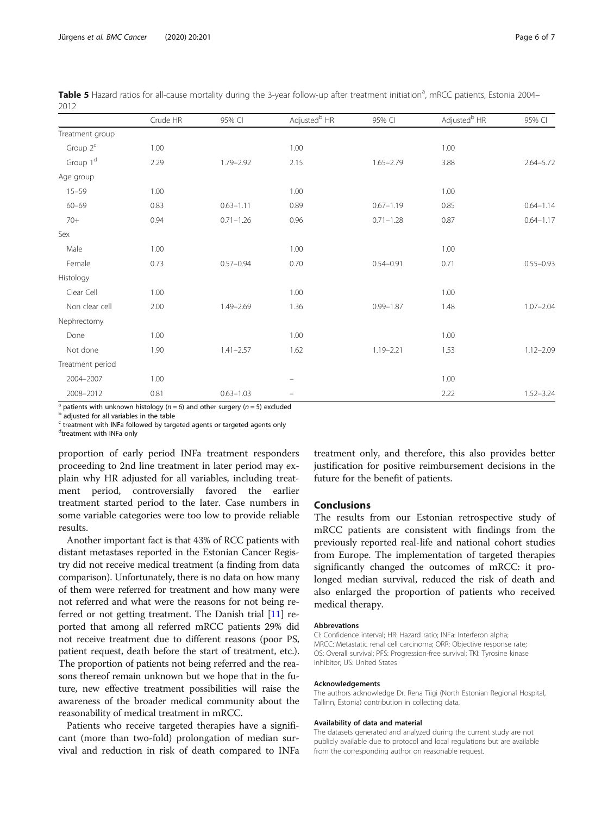|                      | Crude HR | 95% CI        | Adjusted <sup>b</sup> HR | 95% CI        | Adjusted <sup>b</sup> HR | 95% CI        |
|----------------------|----------|---------------|--------------------------|---------------|--------------------------|---------------|
| Treatment group      |          |               |                          |               |                          |               |
| Group $2c$           | 1.00     |               | 1.00                     |               | 1.00                     |               |
| Group 1 <sup>d</sup> | 2.29     | $1.79 - 2.92$ | 2.15                     | $1.65 - 2.79$ | 3.88                     | $2.64 - 5.72$ |
| Age group            |          |               |                          |               |                          |               |
| $15 - 59$            | 1.00     |               | 1.00                     |               | 1.00                     |               |
| $60 - 69$            | 0.83     | $0.63 - 1.11$ | 0.89                     | $0.67 - 1.19$ | 0.85                     | $0.64 - 1.14$ |
| $70+$                | 0.94     | $0.71 - 1.26$ | 0.96                     | $0.71 - 1.28$ | 0.87                     | $0.64 - 1.17$ |
| Sex                  |          |               |                          |               |                          |               |
| Male                 | 1.00     |               | 1.00                     |               | 1.00                     |               |
| Female               | 0.73     | $0.57 - 0.94$ | 0.70                     | $0.54 - 0.91$ | 0.71                     | $0.55 - 0.93$ |
| Histology            |          |               |                          |               |                          |               |
| Clear Cell           | 1.00     |               | 1.00                     |               | 1.00                     |               |
| Non clear cell       | 2.00     | $1.49 - 2.69$ | 1.36                     | $0.99 - 1.87$ | 1.48                     | $1.07 - 2.04$ |
| Nephrectomy          |          |               |                          |               |                          |               |
| Done                 | 1.00     |               | 1.00                     |               | 1.00                     |               |
| Not done             | 1.90     | $1.41 - 2.57$ | 1.62                     | $1.19 - 2.21$ | 1.53                     | $1.12 - 2.09$ |
| Treatment period     |          |               |                          |               |                          |               |
| 2004-2007            | 1.00     |               |                          |               | 1.00                     |               |
| 2008-2012            | 0.81     | $0.63 - 1.03$ | $\qquad \qquad =$        |               | 2.22                     | $1.52 - 3.24$ |

<span id="page-5-0"></span>Table 5 Hazard ratios for all-cause mortality during the 3-year follow-up after treatment initiation<sup>a</sup>, mRCC patients, Estonia 2004– 2012

<sup>a</sup> patients with unknown histology (n = 6) and other surgery (n = 5) excluded b adjusted for all variables in the table

 $c$  treatment with INFa followed by targeted agents or targeted agents only

<sup>d</sup>treatment with INFa only

proportion of early period INFa treatment responders proceeding to 2nd line treatment in later period may explain why HR adjusted for all variables, including treatment period, controversially favored the earlier treatment started period to the later. Case numbers in some variable categories were too low to provide reliable results.

Another important fact is that 43% of RCC patients with distant metastases reported in the Estonian Cancer Registry did not receive medical treatment (a finding from data comparison). Unfortunately, there is no data on how many of them were referred for treatment and how many were not referred and what were the reasons for not being referred or not getting treatment. The Danish trial [[11](#page-6-0)] reported that among all referred mRCC patients 29% did not receive treatment due to different reasons (poor PS, patient request, death before the start of treatment, etc.). The proportion of patients not being referred and the reasons thereof remain unknown but we hope that in the future, new effective treatment possibilities will raise the awareness of the broader medical community about the reasonability of medical treatment in mRCC.

Patients who receive targeted therapies have a significant (more than two-fold) prolongation of median survival and reduction in risk of death compared to INFa

treatment only, and therefore, this also provides better justification for positive reimbursement decisions in the future for the benefit of patients.

#### Conclusions

The results from our Estonian retrospective study of mRCC patients are consistent with findings from the previously reported real-life and national cohort studies from Europe. The implementation of targeted therapies significantly changed the outcomes of mRCC: it prolonged median survival, reduced the risk of death and also enlarged the proportion of patients who received medical therapy.

#### Abbrevations

CI: Confidence interval; HR: Hazard ratio; INFa: Interferon alpha; MRCC: Metastatic renal cell carcinoma; ORR: Objective response rate; OS: Overall survival; PFS: Progression-free survival; TKI: Tyrosine kinase inhibitor; US: United States

#### Acknowledgements

The authors acknowledge Dr. Rena Tiigi (North Estonian Regional Hospital, Tallinn, Estonia) contribution in collecting data.

#### Availability of data and material

The datasets generated and analyzed during the current study are not publicly available due to protocol and local regulations but are available from the corresponding author on reasonable request.